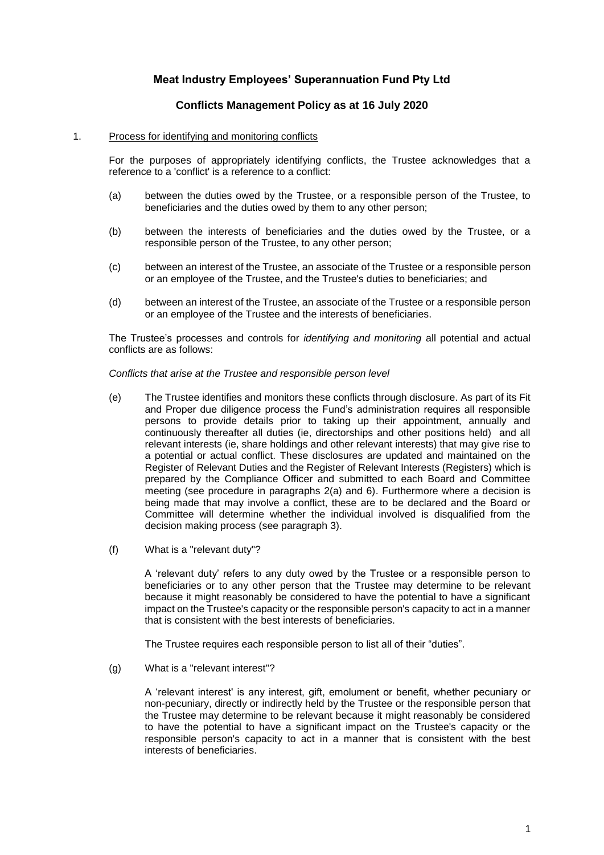# **Meat Industry Employees' Superannuation Fund Pty Ltd**

## **Conflicts Management Policy as at 16 July 2020**

#### <span id="page-0-0"></span>1. Process for identifying and monitoring conflicts

For the purposes of appropriately identifying conflicts, the Trustee acknowledges that a reference to a 'conflict' is a reference to a conflict:

- (a) between the duties owed by the Trustee, or a responsible person of the Trustee, to beneficiaries and the duties owed by them to any other person;
- (b) between the interests of beneficiaries and the duties owed by the Trustee, or a responsible person of the Trustee, to any other person;
- (c) between an interest of the Trustee, an associate of the Trustee or a responsible person or an employee of the Trustee, and the Trustee's duties to beneficiaries; and
- (d) between an interest of the Trustee, an associate of the Trustee or a responsible person or an employee of the Trustee and the interests of beneficiaries.

The Trustee's processes and controls for *identifying and monitoring* all potential and actual conflicts are as follows:

#### *Conflicts that arise at the Trustee and responsible person level*

- (e) The Trustee identifies and monitors these conflicts through disclosure. As part of its Fit and Proper due diligence process the Fund's administration requires all responsible persons to provide details prior to taking up their appointment, annually and continuously thereafter all duties (ie, directorships and other positions held) and all relevant interests (ie, share holdings and other relevant interests) that may give rise to a potential or actual conflict. These disclosures are updated and maintained on the Register of Relevant Duties and the Register of Relevant Interests (Registers) which is prepared by the Compliance Officer and submitted to each Board and Committee meeting (see procedure in paragraphs 2(a) and 6). Furthermore where a decision is being made that may involve a conflict, these are to be declared and the Board or Committee will determine whether the individual involved is disqualified from the decision making process (see paragraph 3).
- (f) What is a "relevant duty"?

A 'relevant duty' refers to any duty owed by the Trustee or a responsible person to beneficiaries or to any other person that the Trustee may determine to be relevant because it might reasonably be considered to have the potential to have a significant impact on the Trustee's capacity or the responsible person's capacity to act in a manner that is consistent with the best interests of beneficiaries.

The Trustee requires each responsible person to list all of their "duties".

(g) What is a "relevant interest"?

A 'relevant interest' is any interest, gift, emolument or benefit, whether pecuniary or non-pecuniary, directly or indirectly held by the Trustee or the responsible person that the Trustee may determine to be relevant because it might reasonably be considered to have the potential to have a significant impact on the Trustee's capacity or the responsible person's capacity to act in a manner that is consistent with the best interests of beneficiaries.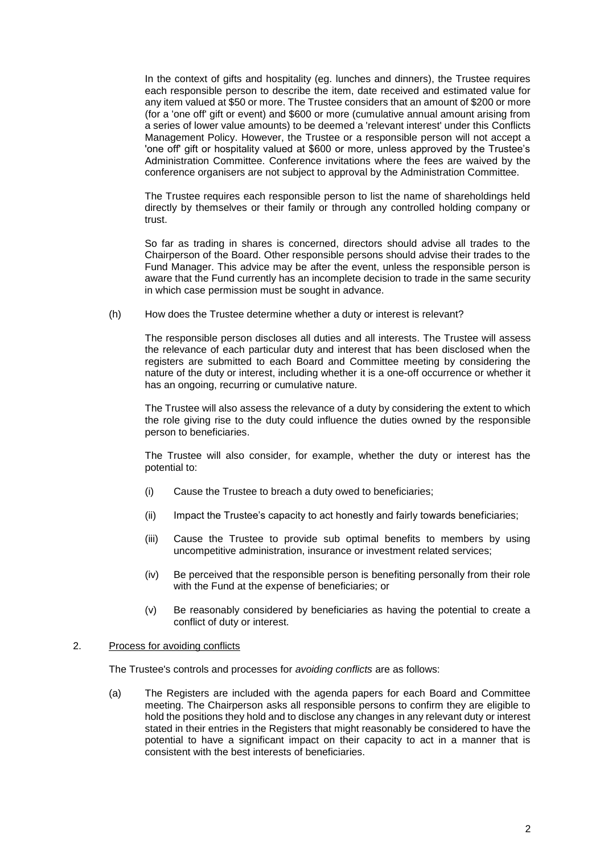In the context of gifts and hospitality (eg. lunches and dinners), the Trustee requires each responsible person to describe the item, date received and estimated value for any item valued at \$50 or more. The Trustee considers that an amount of \$200 or more (for a 'one off' gift or event) and \$600 or more (cumulative annual amount arising from a series of lower value amounts) to be deemed a 'relevant interest' under this Conflicts Management Policy. However, the Trustee or a responsible person will not accept a 'one off' gift or hospitality valued at \$600 or more, unless approved by the Trustee's Administration Committee. Conference invitations where the fees are waived by the conference organisers are not subject to approval by the Administration Committee.

The Trustee requires each responsible person to list the name of shareholdings held directly by themselves or their family or through any controlled holding company or trust.

So far as trading in shares is concerned, directors should advise all trades to the Chairperson of the Board. Other responsible persons should advise their trades to the Fund Manager. This advice may be after the event, unless the responsible person is aware that the Fund currently has an incomplete decision to trade in the same security in which case permission must be sought in advance.

(h) How does the Trustee determine whether a duty or interest is relevant?

The responsible person discloses all duties and all interests. The Trustee will assess the relevance of each particular duty and interest that has been disclosed when the registers are submitted to each Board and Committee meeting by considering the nature of the duty or interest, including whether it is a one-off occurrence or whether it has an ongoing, recurring or cumulative nature.

The Trustee will also assess the relevance of a duty by considering the extent to which the role giving rise to the duty could influence the duties owned by the responsible person to beneficiaries.

The Trustee will also consider, for example, whether the duty or interest has the potential to:

- (i) Cause the Trustee to breach a duty owed to beneficiaries;
- (ii) Impact the Trustee's capacity to act honestly and fairly towards beneficiaries;
- (iii) Cause the Trustee to provide sub optimal benefits to members by using uncompetitive administration, insurance or investment related services;
- (iv) Be perceived that the responsible person is benefiting personally from their role with the Fund at the expense of beneficiaries; or
- (v) Be reasonably considered by beneficiaries as having the potential to create a conflict of duty or interest.

#### <span id="page-1-1"></span><span id="page-1-0"></span>2. Process for avoiding conflicts

The Trustee's controls and processes for *avoiding conflicts* are as follows:

(a) The Registers are included with the agenda papers for each Board and Committee meeting. The Chairperson asks all responsible persons to confirm they are eligible to hold the positions they hold and to disclose any changes in any relevant duty or interest stated in their entries in the Registers that might reasonably be considered to have the potential to have a significant impact on their capacity to act in a manner that is consistent with the best interests of beneficiaries.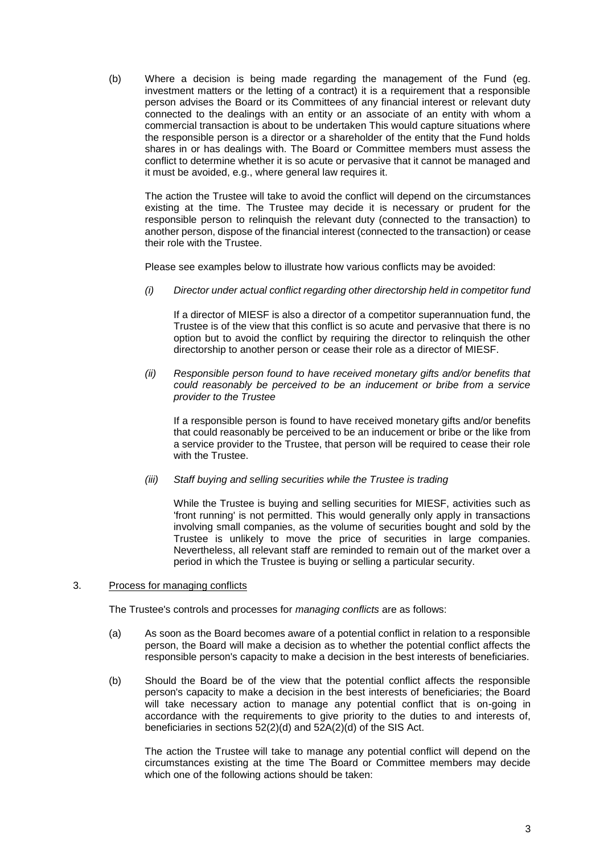(b) Where a decision is being made regarding the management of the Fund (eg. investment matters or the letting of a contract) it is a requirement that a responsible person advises the Board or its Committees of any financial interest or relevant duty connected to the dealings with an entity or an associate of an entity with whom a commercial transaction is about to be undertaken This would capture situations where the responsible person is a director or a shareholder of the entity that the Fund holds shares in or has dealings with. The Board or Committee members must assess the conflict to determine whether it is so acute or pervasive that it cannot be managed and it must be avoided, e.g., where general law requires it.

The action the Trustee will take to avoid the conflict will depend on the circumstances existing at the time. The Trustee may decide it is necessary or prudent for the responsible person to relinquish the relevant duty (connected to the transaction) to another person, dispose of the financial interest (connected to the transaction) or cease their role with the Trustee.

Please see examples below to illustrate how various conflicts may be avoided:

*(i) Director under actual conflict regarding other directorship held in competitor fund*

If a director of MIESF is also a director of a competitor superannuation fund, the Trustee is of the view that this conflict is so acute and pervasive that there is no option but to avoid the conflict by requiring the director to relinquish the other directorship to another person or cease their role as a director of MIESF.

*(ii) Responsible person found to have received monetary gifts and/or benefits that could reasonably be perceived to be an inducement or bribe from a service provider to the Trustee*

If a responsible person is found to have received monetary gifts and/or benefits that could reasonably be perceived to be an inducement or bribe or the like from a service provider to the Trustee, that person will be required to cease their role with the Trustee.

*(iii) Staff buying and selling securities while the Trustee is trading*

While the Trustee is buying and selling securities for MIESF, activities such as 'front running' is not permitted. This would generally only apply in transactions involving small companies, as the volume of securities bought and sold by the Trustee is unlikely to move the price of securities in large companies. Nevertheless, all relevant staff are reminded to remain out of the market over a period in which the Trustee is buying or selling a particular security.

# <span id="page-2-0"></span>3. Process for managing conflicts

The Trustee's controls and processes for *managing conflicts* are as follows:

- (a) As soon as the Board becomes aware of a potential conflict in relation to a responsible person, the Board will make a decision as to whether the potential conflict affects the responsible person's capacity to make a decision in the best interests of beneficiaries.
- <span id="page-2-1"></span>(b) Should the Board be of the view that the potential conflict affects the responsible person's capacity to make a decision in the best interests of beneficiaries; the Board will take necessary action to manage any potential conflict that is on-going in accordance with the requirements to give priority to the duties to and interests of, beneficiaries in sections 52(2)(d) and 52A(2)(d) of the SIS Act.

The action the Trustee will take to manage any potential conflict will depend on the circumstances existing at the time The Board or Committee members may decide which one of the following actions should be taken: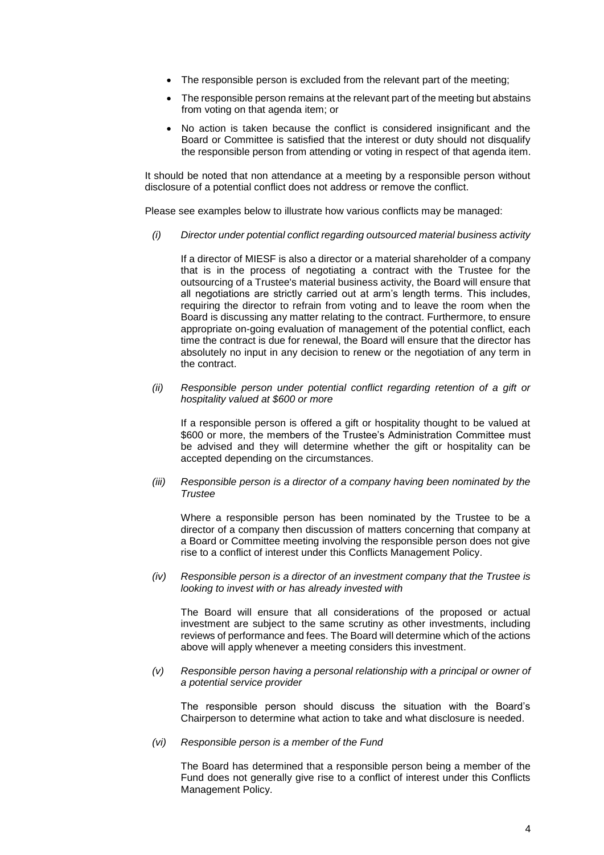- The responsible person is excluded from the relevant part of the meeting;
- The responsible person remains at the relevant part of the meeting but abstains from voting on that agenda item; or
- No action is taken because the conflict is considered insignificant and the Board or Committee is satisfied that the interest or duty should not disqualify the responsible person from attending or voting in respect of that agenda item.

It should be noted that non attendance at a meeting by a responsible person without disclosure of a potential conflict does not address or remove the conflict.

Please see examples below to illustrate how various conflicts may be managed:

*(i) Director under potential conflict regarding outsourced material business activity*

If a director of MIESF is also a director or a material shareholder of a company that is in the process of negotiating a contract with the Trustee for the outsourcing of a Trustee's material business activity, the Board will ensure that all negotiations are strictly carried out at arm's length terms. This includes, requiring the director to refrain from voting and to leave the room when the Board is discussing any matter relating to the contract. Furthermore, to ensure appropriate on-going evaluation of management of the potential conflict, each time the contract is due for renewal, the Board will ensure that the director has absolutely no input in any decision to renew or the negotiation of any term in the contract.

*(ii) Responsible person under potential conflict regarding retention of a gift or hospitality valued at \$600 or more* 

If a responsible person is offered a gift or hospitality thought to be valued at \$600 or more, the members of the Trustee's Administration Committee must be advised and they will determine whether the gift or hospitality can be accepted depending on the circumstances.

*(iii) Responsible person is a director of a company having been nominated by the Trustee* 

Where a responsible person has been nominated by the Trustee to be a director of a company then discussion of matters concerning that company at a Board or Committee meeting involving the responsible person does not give rise to a conflict of interest under this Conflicts Management Policy.

*(iv) Responsible person is a director of an investment company that the Trustee is looking to invest with or has already invested with* 

The Board will ensure that all considerations of the proposed or actual investment are subject to the same scrutiny as other investments, including reviews of performance and fees. The Board will determine which of the actions above will apply whenever a meeting considers this investment.

*(v) Responsible person having a personal relationship with a principal or owner of a potential service provider*

The responsible person should discuss the situation with the Board's Chairperson to determine what action to take and what disclosure is needed.

*(vi) Responsible person is a member of the Fund*

The Board has determined that a responsible person being a member of the Fund does not generally give rise to a conflict of interest under this Conflicts Management Policy.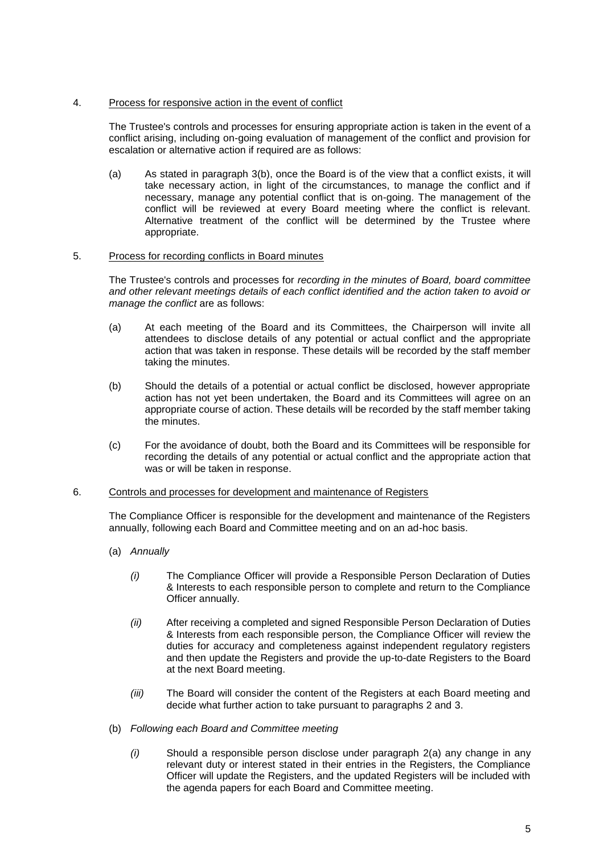### 4. Process for responsive action in the event of conflict

The Trustee's controls and processes for ensuring appropriate action is taken in the event of a conflict arising, including on-going evaluation of management of the conflict and provision for escalation or alternative action if required are as follows:

(a) As stated in paragraph [3](#page-2-0)[\(b\),](#page-2-1) once the Board is of the view that a conflict exists, it will take necessary action, in light of the circumstances, to manage the conflict and if necessary, manage any potential conflict that is on-going. The management of the conflict will be reviewed at every Board meeting where the conflict is relevant. Alternative treatment of the conflict will be determined by the Trustee where appropriate.

### 5. Process for recording conflicts in Board minutes

The Trustee's controls and processes for *recording in the minutes of Board, board committee and other relevant meetings details of each conflict identified and the action taken to avoid or manage the conflict* are as follows:

- (a) At each meeting of the Board and its Committees, the Chairperson will invite all attendees to disclose details of any potential or actual conflict and the appropriate action that was taken in response. These details will be recorded by the staff member taking the minutes.
- (b) Should the details of a potential or actual conflict be disclosed, however appropriate action has not yet been undertaken, the Board and its Committees will agree on an appropriate course of action. These details will be recorded by the staff member taking the minutes.
- (c) For the avoidance of doubt, both the Board and its Committees will be responsible for recording the details of any potential or actual conflict and the appropriate action that was or will be taken in response.

#### <span id="page-4-0"></span>6. Controls and processes for development and maintenance of Registers

The Compliance Officer is responsible for the development and maintenance of the Registers annually, following each Board and Committee meeting and on an ad-hoc basis.

- (a) *Annually* 
	- *(i)* The Compliance Officer will provide a Responsible Person Declaration of Duties & Interests to each responsible person to complete and return to the Compliance Officer annually.
	- *(ii)* After receiving a completed and signed Responsible Person Declaration of Duties & Interests from each responsible person, the Compliance Officer will review the duties for accuracy and completeness against independent regulatory registers and then update the Registers and provide the up-to-date Registers to the Board at the next Board meeting.
	- *(iii)* The Board will consider the content of the Registers at each Board meeting and decide what further action to take pursuant to paragraphs 2 and [3.](#page-2-0)
- (b) *Following each Board and Committee meeting*
	- *(i)* Should a responsible person disclose under paragraph [2](#page-1-0)[\(a\)](#page-1-1) any change in any relevant duty or interest stated in their entries in the Registers, the Compliance Officer will update the Registers, and the updated Registers will be included with the agenda papers for each Board and Committee meeting.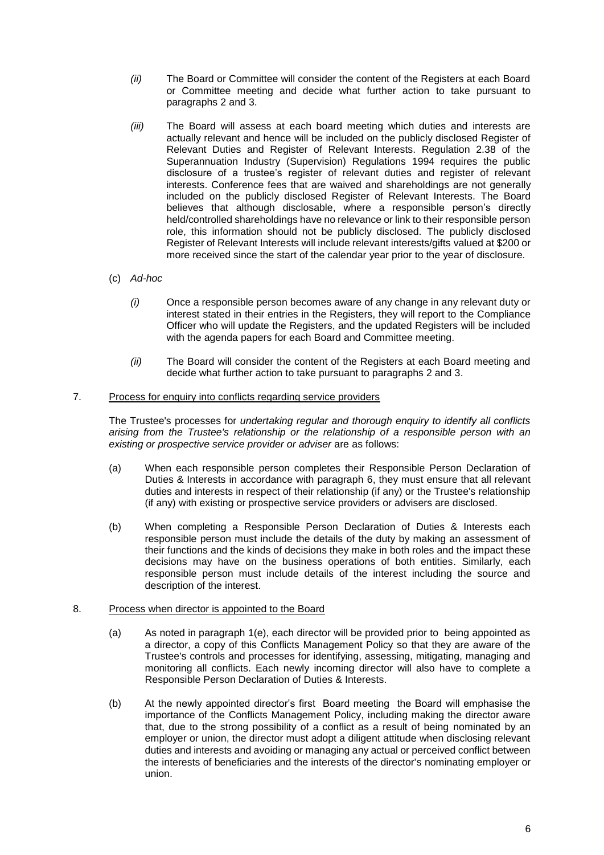- *(ii)* The Board or Committee will consider the content of the Registers at each Board or Committee meeting and decide what further action to take pursuant to paragraphs 2 and 3.
- *(iii)* The Board will assess at each board meeting which duties and interests are actually relevant and hence will be included on the publicly disclosed Register of Relevant Duties and Register of Relevant Interests. Regulation 2.38 of the Superannuation Industry (Supervision) Regulations 1994 requires the public disclosure of a trustee's register of relevant duties and register of relevant interests. Conference fees that are waived and shareholdings are not generally included on the publicly disclosed Register of Relevant Interests. The Board believes that although disclosable, where a responsible person's directly held/controlled shareholdings have no relevance or link to their responsible person role, this information should not be publicly disclosed. The publicly disclosed Register of Relevant Interests will include relevant interests/gifts valued at \$200 or more received since the start of the calendar year prior to the year of disclosure.
- (c) *Ad-hoc*
	- *(i)* Once a responsible person becomes aware of any change in any relevant duty or interest stated in their entries in the Registers, they will report to the Compliance Officer who will update the Registers, and the updated Registers will be included with the agenda papers for each Board and Committee meeting.
	- *(ii)* The Board will consider the content of the Registers at each Board meeting and decide what further action to take pursuant to paragraphs 2 and 3.

### 7. Process for enquiry into conflicts regarding service providers

The Trustee's processes for *undertaking regular and thorough enquiry to identify all conflicts arising from the Trustee's relationship or the relationship of a responsible person with an existing or prospective service provider or adviser are as follows:* 

- (a) When each responsible person completes their Responsible Person Declaration of Duties & Interests in accordance with paragraph [6,](#page-4-0) they must ensure that all relevant duties and interests in respect of their relationship (if any) or the Trustee's relationship (if any) with existing or prospective service providers or advisers are disclosed.
- (b) When completing a Responsible Person Declaration of Duties & Interests each responsible person must include the details of the duty by making an assessment of their functions and the kinds of decisions they make in both roles and the impact these decisions may have on the business operations of both entities. Similarly, each responsible person must include details of the interest including the source and description of the interest.

### 8. Process when director is appointed to the Board

- (a) As noted in paragraph [1\(](#page-0-0)e), each director will be provided prior to being appointed as a director, a copy of this Conflicts Management Policy so that they are aware of the Trustee's controls and processes for identifying, assessing, mitigating, managing and monitoring all conflicts. Each newly incoming director will also have to complete a Responsible Person Declaration of Duties & Interests.
- (b) At the newly appointed director's first Board meeting the Board will emphasise the importance of the Conflicts Management Policy, including making the director aware that, due to the strong possibility of a conflict as a result of being nominated by an employer or union, the director must adopt a diligent attitude when disclosing relevant duties and interests and avoiding or managing any actual or perceived conflict between the interests of beneficiaries and the interests of the director's nominating employer or union.